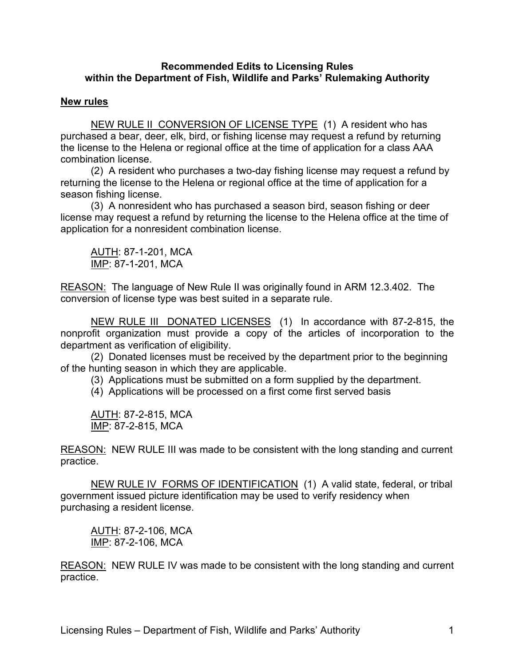#### **Recommended Edits to Licensing Rules within the Department of Fish, Wildlife and Parks' Rulemaking Authority**

### **New rules**

NEW RULE II CONVERSION OF LICENSE TYPE (1) A resident who has purchased a bear, deer, elk, bird, or fishing license may request a refund by returning the license to the Helena or regional office at the time of application for a class AAA combination license.

(2) A resident who purchases a two-day fishing license may request a refund by returning the license to the Helena or regional office at the time of application for a season fishing license.

(3) A nonresident who has purchased a season bird, season fishing or deer license may request a refund by returning the license to the Helena office at the time of application for a nonresident combination license.

AUTH: 87-1-201, MCA IMP: 87-1-201, MCA

REASON: The language of New Rule II was originally found in ARM 12.3.402. The conversion of license type was best suited in a separate rule.

NEW RULE III DONATED LICENSES (1) In accordance with 87-2-815, the nonprofit organization must provide a copy of the articles of incorporation to the department as verification of eligibility.

(2) Donated licenses must be received by the department prior to the beginning of the hunting season in which they are applicable.

(3) Applications must be submitted on a form supplied by the department.

(4) Applications will be processed on a first come first served basis

AUTH: 87-2-815, MCA IMP: 87-2-815, MCA

REASON: NEW RULE III was made to be consistent with the long standing and current practice.

NEW RULE IV FORMS OF IDENTIFICATION (1) A valid state, federal, or tribal government issued picture identification may be used to verify residency when purchasing a resident license.

AUTH: 87-2-106, MCA IMP: 87-2-106, MCA

REASON: NEW RULE IV was made to be consistent with the long standing and current practice.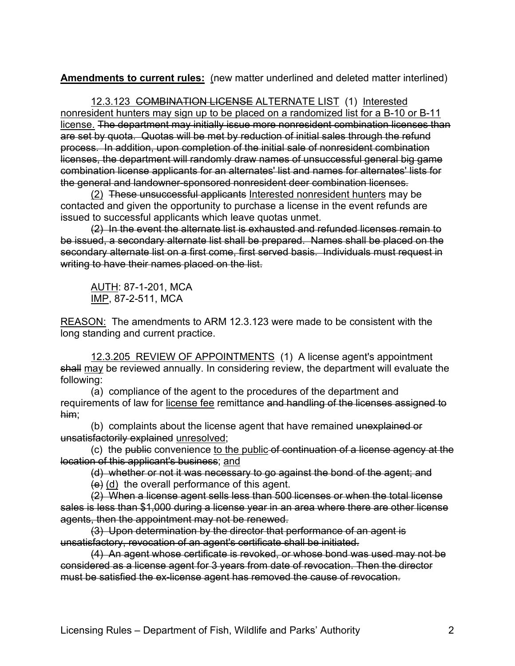**Amendments to current rules:** (new matter underlined and deleted matter interlined)

12.3.123 COMBINATION LICENSE ALTERNATE LIST (1) Interested nonresident hunters may sign up to be placed on a randomized list for a B-10 or B-11 license. The department may initially issue more nonresident combination licenses than are set by quota. Quotas will be met by reduction of initial sales through the refund process. In addition, upon completion of the initial sale of nonresident combination licenses, the department will randomly draw names of unsuccessful general big game combination license applicants for an alternates' list and names for alternates' lists for the general and landowner-sponsored nonresident deer combination licenses.

(2) These unsuccessful applicants Interested nonresident hunters may be contacted and given the opportunity to purchase a license in the event refunds are issued to successful applicants which leave quotas unmet.

(2) In the event the alternate list is exhausted and refunded licenses remain to be issued, a secondary alternate list shall be prepared. Names shall be placed on the secondary alternate list on a first come, first served basis. Individuals must request in writing to have their names placed on the list.

AUTH: 87-1-201, MCA IMP, 87-2-511, MCA

REASON: The amendments to ARM 12.3.123 were made to be consistent with the long standing and current practice.

12.3.205 REVIEW OF APPOINTMENTS (1) A license agent's appointment shall may be reviewed annually. In considering review, the department will evaluate the following:

(a) compliance of the agent to the procedures of the department and requirements of law for license fee remittance and handling of the licenses assigned to him;

(b) complaints about the license agent that have remained unexplained or unsatisfactorily explained unresolved;

(c) the public convenience to the public of continuation of a license agency at the location of this applicant's business; and

(d) whether or not it was necessary to go against the bond of the agent; and  $(e)$  (d) the overall performance of this agent.

(2) When a license agent sells less than 500 licenses or when the total license sales is less than \$1,000 during a license year in an area where there are other license agents, then the appointment may not be renewed.

(3) Upon determination by the director that performance of an agent is unsatisfactory, revocation of an agent's certificate shall be initiated.

(4) An agent whose certificate is revoked, or whose bond was used may not be considered as a license agent for 3 years from date of revocation. Then the director must be satisfied the ex-license agent has removed the cause of revocation.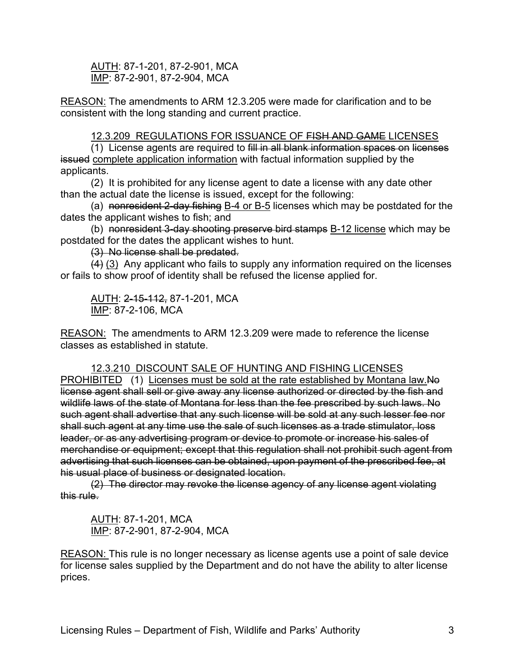AUTH: 87-1-201, 87-2-901, MCA IMP: 87-2-901, 87-2-904, MCA

REASON: The amendments to ARM 12.3.205 were made for clarification and to be consistent with the long standing and current practice.

### 12.3.209 REGULATIONS FOR ISSUANCE OF FISH AND GAME LICENSES

(1) License agents are required to fill in all blank information spaces on licenses issued complete application information with factual information supplied by the applicants.

(2) It is prohibited for any license agent to date a license with any date other than the actual date the license is issued, except for the following:

(a) nonresident 2-day fishing B-4 or B-5 licenses which may be postdated for the dates the applicant wishes to fish; and

(b) nonresident 3-day shooting preserve bird stamps B-12 license which may be postdated for the dates the applicant wishes to hunt.

(3) No license shall be predated.

(4) (3) Any applicant who fails to supply any information required on the licenses or fails to show proof of identity shall be refused the license applied for.

AUTH: 2-15-112, 87-1-201, MCA IMP: 87-2-106, MCA

REASON: The amendments to ARM 12.3.209 were made to reference the license classes as established in statute.

12.3.210 DISCOUNT SALE OF HUNTING AND FISHING LICENSES PROHIBITED (1) Licenses must be sold at the rate established by Montana law.No license agent shall sell or give away any license authorized or directed by the fish and wildlife laws of the state of Montana for less than the fee prescribed by such laws. No such agent shall advertise that any such license will be sold at any such lesser fee nor shall such agent at any time use the sale of such licenses as a trade stimulator, loss leader, or as any advertising program or device to promote or increase his sales of merchandise or equipment; except that this regulation shall not prohibit such agent from advertising that such licenses can be obtained, upon payment of the prescribed fee, at his usual place of business or designated location.

(2) The director may revoke the license agency of any license agent violating this rule.

AUTH: 87-1-201, MCA IMP: 87-2-901, 87-2-904, MCA

REASON: This rule is no longer necessary as license agents use a point of sale device for license sales supplied by the Department and do not have the ability to alter license prices.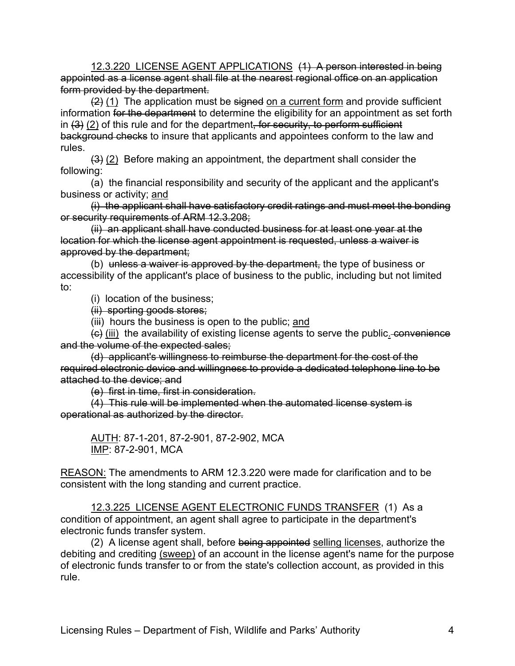12.3.220 LICENSE AGENT APPLICATIONS (1) A person interested in being appointed as a license agent shall file at the nearest regional office on an application form provided by the department.

 $(2)$  (1) The application must be signed on a current form and provide sufficient information for the department to determine the eligibility for an appointment as set forth in  $(3)$   $(2)$  of this rule and for the department, for security, to perform sufficient background checks to insure that applicants and appointees conform to the law and rules.

(3) (2) Before making an appointment, the department shall consider the following:

(a) the financial responsibility and security of the applicant and the applicant's business or activity; and

(i) the applicant shall have satisfactory credit ratings and must meet the bonding or security requirements of ARM 12.3.208;

(ii) an applicant shall have conducted business for at least one year at the location for which the license agent appointment is requested, unless a waiver is approved by the department;

(b) unless a waiver is approved by the department, the type of business or accessibility of the applicant's place of business to the public, including but not limited to:

(i) location of the business;

(ii) sporting goods stores;

(iii) hours the business is open to the public; and

 $\overline{f}(t)$  (iii) the availability of existing license agents to serve the public. convenience and the volume of the expected sales;

(d) applicant's willingness to reimburse the department for the cost of the required electronic device and willingness to provide a dedicated telephone line to be attached to the device; and

(e) first in time, first in consideration.

(4) This rule will be implemented when the automated license system is operational as authorized by the director.

AUTH: 87-1-201, 87-2-901, 87-2-902, MCA IMP: 87-2-901, MCA

REASON: The amendments to ARM 12.3.220 were made for clarification and to be consistent with the long standing and current practice.

12.3.225 LICENSE AGENT ELECTRONIC FUNDS TRANSFER (1) As a condition of appointment, an agent shall agree to participate in the department's electronic funds transfer system.

(2) A license agent shall, before being appointed selling licenses, authorize the debiting and crediting (sweep) of an account in the license agent's name for the purpose of electronic funds transfer to or from the state's collection account, as provided in this rule.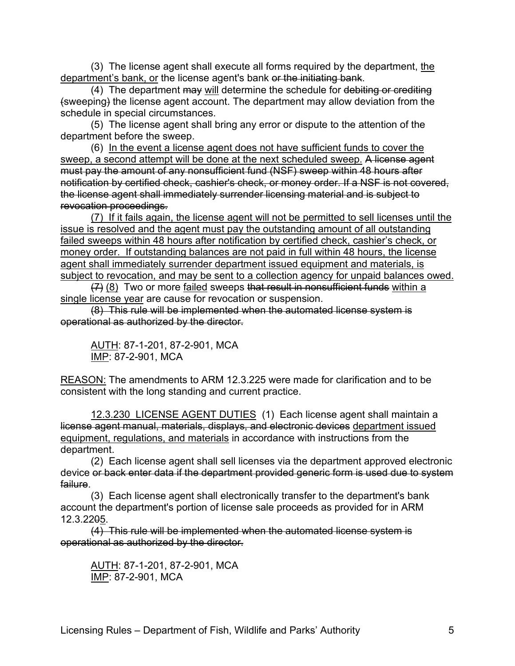(3) The license agent shall execute all forms required by the department, the department's bank, or the license agent's bank or the initiating bank.

(4) The department may will determine the schedule for debiting or crediting (sweeping) the license agent account. The department may allow deviation from the schedule in special circumstances.

(5) The license agent shall bring any error or dispute to the attention of the department before the sweep.

(6) In the event a license agent does not have sufficient funds to cover the sweep, a second attempt will be done at the next scheduled sweep. A license agent must pay the amount of any nonsufficient fund (NSF) sweep within 48 hours after notification by certified check, cashier's check, or money order. If a NSF is not covered, the license agent shall immediately surrender licensing material and is subject to revocation proceedings.

(7) If it fails again, the license agent will not be permitted to sell licenses until the issue is resolved and the agent must pay the outstanding amount of all outstanding failed sweeps within 48 hours after notification by certified check, cashier's check, or money order. If outstanding balances are not paid in full within 48 hours, the license agent shall immediately surrender department issued equipment and materials, is subject to revocation, and may be sent to a collection agency for unpaid balances owed.

(7) (8) Two or more failed sweeps that result in nonsufficient funds within a single license year are cause for revocation or suspension.

(8) This rule will be implemented when the automated license system is operational as authorized by the director.

AUTH: 87-1-201, 87-2-901, MCA IMP: 87-2-901, MCA

REASON: The amendments to ARM 12.3.225 were made for clarification and to be consistent with the long standing and current practice.

12.3.230 LICENSE AGENT DUTIES (1) Each license agent shall maintain a license agent manual, materials, displays, and electronic devices department issued equipment, regulations, and materials in accordance with instructions from the department.

(2) Each license agent shall sell licenses via the department approved electronic device or back enter data if the department provided generic form is used due to system failure.

(3) Each license agent shall electronically transfer to the department's bank account the department's portion of license sale proceeds as provided for in ARM 12.3.2205.

(4) This rule will be implemented when the automated license system is operational as authorized by the director.

AUTH: 87-1-201, 87-2-901, MCA IMP: 87-2-901, MCA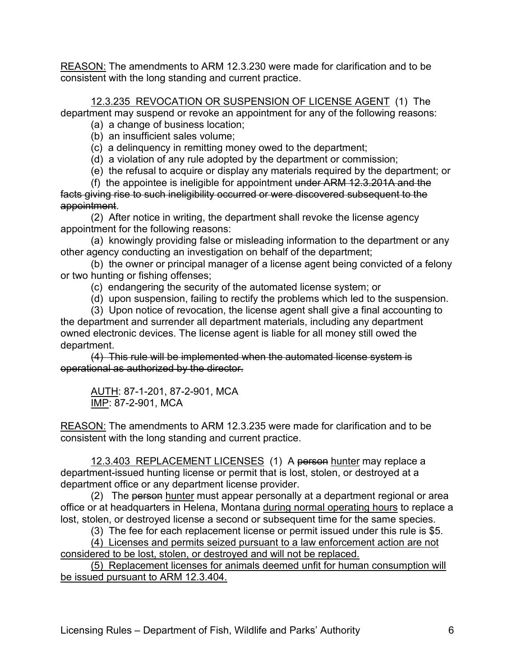REASON: The amendments to ARM 12.3.230 were made for clarification and to be consistent with the long standing and current practice.

12.3.235 REVOCATION OR SUSPENSION OF LICENSE AGENT (1) The department may suspend or revoke an appointment for any of the following reasons:

(a) a change of business location;

(b) an insufficient sales volume;

(c) a delinquency in remitting money owed to the department;

(d) a violation of any rule adopted by the department or commission;

(e) the refusal to acquire or display any materials required by the department; or

(f) the appointee is ineligible for appointment under ARM 12.3.201A and the facts giving rise to such ineligibility occurred or were discovered subsequent to the appointment.

(2) After notice in writing, the department shall revoke the license agency appointment for the following reasons:

(a) knowingly providing false or misleading information to the department or any other agency conducting an investigation on behalf of the department;

(b) the owner or principal manager of a license agent being convicted of a felony or two hunting or fishing offenses;

(c) endangering the security of the automated license system; or

(d) upon suspension, failing to rectify the problems which led to the suspension.

(3) Upon notice of revocation, the license agent shall give a final accounting to the department and surrender all department materials, including any department owned electronic devices. The license agent is liable for all money still owed the department.

(4) This rule will be implemented when the automated license system is operational as authorized by the director.

AUTH: 87-1-201, 87-2-901, MCA IMP: 87-2-901, MCA

REASON: The amendments to ARM 12.3.235 were made for clarification and to be consistent with the long standing and current practice.

12.3.403 REPLACEMENT LICENSES (1) A person hunter may replace a department-issued hunting license or permit that is lost, stolen, or destroyed at a department office or any department license provider.

(2) The person hunter must appear personally at a department regional or area office or at headquarters in Helena, Montana during normal operating hours to replace a lost, stolen, or destroyed license a second or subsequent time for the same species.

(3) The fee for each replacement license or permit issued under this rule is \$5.

(4) Licenses and permits seized pursuant to a law enforcement action are not considered to be lost, stolen, or destroyed and will not be replaced.

(5) Replacement licenses for animals deemed unfit for human consumption will be issued pursuant to ARM 12.3.404.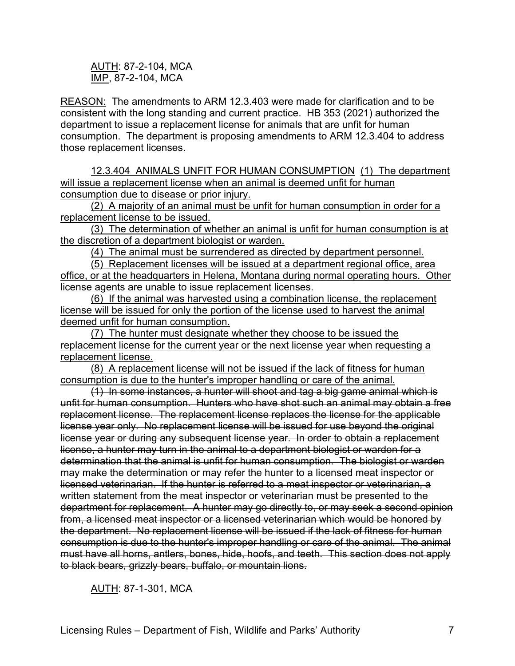AUTH: 87-2-104, MCA IMP, 87-2-104, MCA

REASON: The amendments to ARM 12.3.403 were made for clarification and to be consistent with the long standing and current practice. HB 353 (2021) authorized the department to issue a replacement license for animals that are unfit for human consumption. The department is proposing amendments to ARM 12.3.404 to address those replacement licenses.

12.3.404 ANIMALS UNFIT FOR HUMAN CONSUMPTION (1) The department will issue a replacement license when an animal is deemed unfit for human consumption due to disease or prior injury.

(2) A majority of an animal must be unfit for human consumption in order for a replacement license to be issued.

(3) The determination of whether an animal is unfit for human consumption is at the discretion of a department biologist or warden.

(4) The animal must be surrendered as directed by department personnel.

(5) Replacement licenses will be issued at a department regional office, area office, or at the headquarters in Helena, Montana during normal operating hours. Other license agents are unable to issue replacement licenses.

(6) If the animal was harvested using a combination license, the replacement license will be issued for only the portion of the license used to harvest the animal deemed unfit for human consumption.

(7) The hunter must designate whether they choose to be issued the replacement license for the current year or the next license year when requesting a replacement license.

(8) A replacement license will not be issued if the lack of fitness for human consumption is due to the hunter's improper handling or care of the animal.

(1) In some instances, a hunter will shoot and tag a big game animal which is unfit for human consumption. Hunters who have shot such an animal may obtain a free replacement license. The replacement license replaces the license for the applicable license year only. No replacement license will be issued for use beyond the original license year or during any subsequent license year. In order to obtain a replacement license, a hunter may turn in the animal to a department biologist or warden for a determination that the animal is unfit for human consumption. The biologist or warden may make the determination or may refer the hunter to a licensed meat inspector or licensed veterinarian. If the hunter is referred to a meat inspector or veterinarian, a written statement from the meat inspector or veterinarian must be presented to the department for replacement. A hunter may go directly to, or may seek a second opinion from, a licensed meat inspector or a licensed veterinarian which would be honored by the department. No replacement license will be issued if the lack of fitness for human consumption is due to the hunter's improper handling or care of the animal. The animal must have all horns, antlers, bones, hide, hoofs, and teeth. This section does not apply to black bears, grizzly bears, buffalo, or mountain lions.

AUTH: 87-1-301, MCA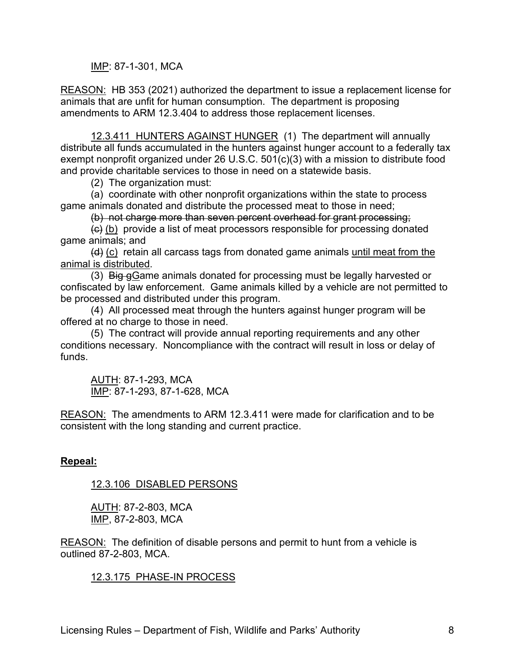IMP: 87-1-301, MCA

REASON: HB 353 (2021) authorized the department to issue a replacement license for animals that are unfit for human consumption. The department is proposing amendments to ARM 12.3.404 to address those replacement licenses.

12.3.411 HUNTERS AGAINST HUNGER (1) The department will annually distribute all funds accumulated in the hunters against hunger account to a federally tax exempt nonprofit organized under 26 U.S.C. 501(c)(3) with a mission to distribute food and provide charitable services to those in need on a statewide basis.

(2) The organization must:

(a) coordinate with other nonprofit organizations within the state to process game animals donated and distribute the processed meat to those in need;

(b) not charge more than seven percent overhead for grant processing;

 $\left(\theta\right)$  (b) provide a list of meat processors responsible for processing donated game animals; and

 $(d)$  (c) retain all carcass tags from donated game animals until meat from the animal is distributed.

(3) Big gGame animals donated for processing must be legally harvested or confiscated by law enforcement. Game animals killed by a vehicle are not permitted to be processed and distributed under this program.

(4) All processed meat through the hunters against hunger program will be offered at no charge to those in need.

(5) The contract will provide annual reporting requirements and any other conditions necessary. Noncompliance with the contract will result in loss or delay of funds.

AUTH: 87-1-293, MCA IMP: 87-1-293, 87-1-628, MCA

REASON: The amendments to ARM 12.3.411 were made for clarification and to be consistent with the long standing and current practice.

# **Repeal:**

# 12.3.106 DISABLED PERSONS

AUTH: 87-2-803, MCA IMP, 87-2-803, MCA

REASON: The definition of disable persons and permit to hunt from a vehicle is outlined 87-2-803, MCA.

# 12.3.175 PHASE-IN PROCESS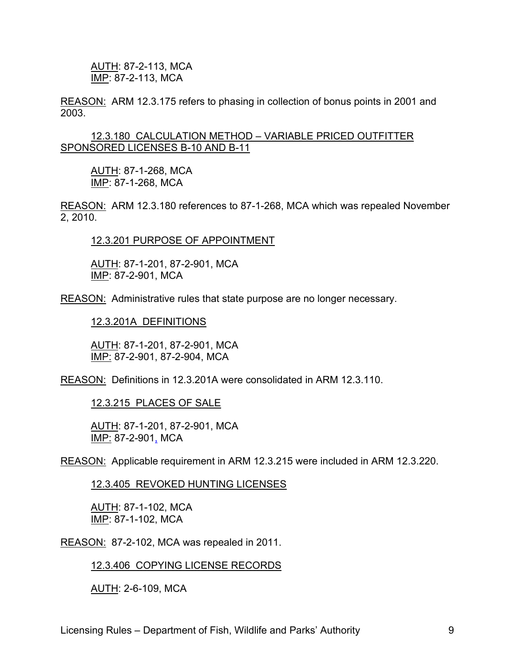AUTH: 87-2-113, MCA IMP: 87-2-113, MCA

REASON: ARM 12.3.175 refers to phasing in collection of bonus points in 2001 and 2003.

12.3.180 CALCULATION METHOD – VARIABLE PRICED OUTFITTER SPONSORED LICENSES B-10 AND B-11

AUTH: 87-1-268, MCA IMP: 87-1-268, MCA

REASON: ARM 12.3.180 references to 87-1-268, MCA which was repealed November 2, 2010.

12.3.201 PURPOSE OF APPOINTMENT

AUTH: 87-1-201, 87-2-901, MCA IMP: 87-2-901, MCA

REASON: Administrative rules that state purpose are no longer necessary.

12.3.201A DEFINITIONS

AUTH: 87-1-201, 87-2-901, MCA IMP: 87-2-901, 87-2-904, MCA

REASON: Definitions in 12.3.201A were consolidated in ARM 12.3.110.

12.3.215 PLACES OF SALE

AUTH: 87-1-201, 87-2-901, MCA IMP: 87-2-901, MCA

REASON: Applicable requirement in ARM 12.3.215 were included in ARM 12.3.220.

12.3.405 REVOKED HUNTING LICENSES

AUTH: 87-1-102, MCA IMP: 87-1-102, MCA

REASON: 87-2-102, MCA was repealed in 2011.

12.3.406 COPYING LICENSE RECORDS

AUTH: 2-6-109, MCA